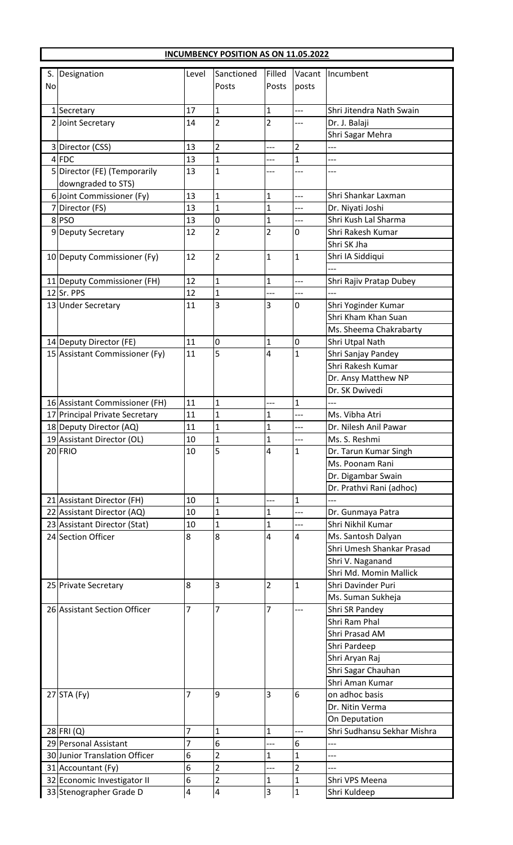| Sanctioned<br>Filled<br>Designation<br>Vacant<br>Incumbent<br>S.<br>Level<br>Posts<br>Posts<br>No<br>posts<br>Shri Jitendra Nath Swain<br>17<br>$\mathbf{1}$<br>1 Secretary<br>$\mathbf{1}$<br>$\overline{a}$<br>$\overline{2}$<br>$\overline{2}$<br>14<br>Dr. J. Balaji<br>2 Joint Secretary<br>Shri Sagar Mehra<br>$\overline{2}$<br>13<br>3 Director (CSS)<br>$\overline{2}$<br>---<br>$\overline{1}$<br>$\mathbf{1}$<br>$4$ FDC<br>13<br>$\overline{a}$<br>5 Director (FE) (Temporarily<br>13<br>1<br>downgraded to STS)<br>6 Joint Commissioner (Fy)<br>$\mathbf{1}$<br>13<br>$\mathbf{1}$<br>Shri Shankar Laxman<br>$\overline{a}$<br>13<br>$\mathbf{1}$<br>$\mathbf{1}$<br>7 Director (FS)<br>Dr. Niyati Joshi<br>Shri Kush Lal Sharma<br>0<br>$\mathbf{1}$<br>8PSO<br>13<br>$\overline{2}$<br>$\overline{2}$<br>Shri Rakesh Kumar<br>12<br>9 Deputy Secretary<br>0<br>Shri SK Jha<br>$\overline{2}$<br>10 Deputy Commissioner (Fy)<br>12<br>$\mathbf{1}$<br>$\mathbf{1}$<br>Shri IA Siddiqui |  |
|------------------------------------------------------------------------------------------------------------------------------------------------------------------------------------------------------------------------------------------------------------------------------------------------------------------------------------------------------------------------------------------------------------------------------------------------------------------------------------------------------------------------------------------------------------------------------------------------------------------------------------------------------------------------------------------------------------------------------------------------------------------------------------------------------------------------------------------------------------------------------------------------------------------------------------------------------------------------------------------------------|--|
|                                                                                                                                                                                                                                                                                                                                                                                                                                                                                                                                                                                                                                                                                                                                                                                                                                                                                                                                                                                                      |  |
|                                                                                                                                                                                                                                                                                                                                                                                                                                                                                                                                                                                                                                                                                                                                                                                                                                                                                                                                                                                                      |  |
|                                                                                                                                                                                                                                                                                                                                                                                                                                                                                                                                                                                                                                                                                                                                                                                                                                                                                                                                                                                                      |  |
|                                                                                                                                                                                                                                                                                                                                                                                                                                                                                                                                                                                                                                                                                                                                                                                                                                                                                                                                                                                                      |  |
|                                                                                                                                                                                                                                                                                                                                                                                                                                                                                                                                                                                                                                                                                                                                                                                                                                                                                                                                                                                                      |  |
|                                                                                                                                                                                                                                                                                                                                                                                                                                                                                                                                                                                                                                                                                                                                                                                                                                                                                                                                                                                                      |  |
|                                                                                                                                                                                                                                                                                                                                                                                                                                                                                                                                                                                                                                                                                                                                                                                                                                                                                                                                                                                                      |  |
|                                                                                                                                                                                                                                                                                                                                                                                                                                                                                                                                                                                                                                                                                                                                                                                                                                                                                                                                                                                                      |  |
|                                                                                                                                                                                                                                                                                                                                                                                                                                                                                                                                                                                                                                                                                                                                                                                                                                                                                                                                                                                                      |  |
|                                                                                                                                                                                                                                                                                                                                                                                                                                                                                                                                                                                                                                                                                                                                                                                                                                                                                                                                                                                                      |  |
|                                                                                                                                                                                                                                                                                                                                                                                                                                                                                                                                                                                                                                                                                                                                                                                                                                                                                                                                                                                                      |  |
|                                                                                                                                                                                                                                                                                                                                                                                                                                                                                                                                                                                                                                                                                                                                                                                                                                                                                                                                                                                                      |  |
|                                                                                                                                                                                                                                                                                                                                                                                                                                                                                                                                                                                                                                                                                                                                                                                                                                                                                                                                                                                                      |  |
|                                                                                                                                                                                                                                                                                                                                                                                                                                                                                                                                                                                                                                                                                                                                                                                                                                                                                                                                                                                                      |  |
|                                                                                                                                                                                                                                                                                                                                                                                                                                                                                                                                                                                                                                                                                                                                                                                                                                                                                                                                                                                                      |  |
|                                                                                                                                                                                                                                                                                                                                                                                                                                                                                                                                                                                                                                                                                                                                                                                                                                                                                                                                                                                                      |  |
|                                                                                                                                                                                                                                                                                                                                                                                                                                                                                                                                                                                                                                                                                                                                                                                                                                                                                                                                                                                                      |  |
| 12<br>$\mathbf{1}$<br>$\mathbf{1}$<br>Shri Rajiv Pratap Dubey<br>11 Deputy Commissioner (FH)<br>---<br>12 Sr. PPS<br>12<br>$\mathbf{1}$                                                                                                                                                                                                                                                                                                                                                                                                                                                                                                                                                                                                                                                                                                                                                                                                                                                              |  |
| 3<br>3<br>11<br>13 Under Secretary<br>0<br>Shri Yoginder Kumar                                                                                                                                                                                                                                                                                                                                                                                                                                                                                                                                                                                                                                                                                                                                                                                                                                                                                                                                       |  |
| Shri Kham Khan Suan                                                                                                                                                                                                                                                                                                                                                                                                                                                                                                                                                                                                                                                                                                                                                                                                                                                                                                                                                                                  |  |
| Ms. Sheema Chakrabarty                                                                                                                                                                                                                                                                                                                                                                                                                                                                                                                                                                                                                                                                                                                                                                                                                                                                                                                                                                               |  |
| 11<br>0<br>$\mathbf{1}$<br>Shri Utpal Nath<br>14 Deputy Director (FE)<br>$\overline{0}$                                                                                                                                                                                                                                                                                                                                                                                                                                                                                                                                                                                                                                                                                                                                                                                                                                                                                                              |  |
| 5<br>11<br>4<br>$\mathbf{1}$<br>15 Assistant Commissioner (Fy)<br>Shri Sanjay Pandey                                                                                                                                                                                                                                                                                                                                                                                                                                                                                                                                                                                                                                                                                                                                                                                                                                                                                                                 |  |
| Shri Rakesh Kumar                                                                                                                                                                                                                                                                                                                                                                                                                                                                                                                                                                                                                                                                                                                                                                                                                                                                                                                                                                                    |  |
| Dr. Ansy Matthew NP                                                                                                                                                                                                                                                                                                                                                                                                                                                                                                                                                                                                                                                                                                                                                                                                                                                                                                                                                                                  |  |
| Dr. SK Dwivedi                                                                                                                                                                                                                                                                                                                                                                                                                                                                                                                                                                                                                                                                                                                                                                                                                                                                                                                                                                                       |  |
| 11<br>16 Assistant Commissioner (FH)<br>1<br>1                                                                                                                                                                                                                                                                                                                                                                                                                                                                                                                                                                                                                                                                                                                                                                                                                                                                                                                                                       |  |
| Ms. Vibha Atri<br>11<br>$\mathbf 1$<br>1<br>17 Principal Private Secretary                                                                                                                                                                                                                                                                                                                                                                                                                                                                                                                                                                                                                                                                                                                                                                                                                                                                                                                           |  |
| 18 Deputy Director (AQ)<br>11<br>1<br>1<br>Dr. Nilesh Anil Pawar<br>---                                                                                                                                                                                                                                                                                                                                                                                                                                                                                                                                                                                                                                                                                                                                                                                                                                                                                                                              |  |
| $\mathbf{1}$<br>$\mathbf{1}$<br>19 Assistant Director (OL)<br>10<br>Ms. S. Reshmi                                                                                                                                                                                                                                                                                                                                                                                                                                                                                                                                                                                                                                                                                                                                                                                                                                                                                                                    |  |
| 5<br>20 FRIO<br>4<br>10<br>1<br>Dr. Tarun Kumar Singh                                                                                                                                                                                                                                                                                                                                                                                                                                                                                                                                                                                                                                                                                                                                                                                                                                                                                                                                                |  |
| Ms. Poonam Rani                                                                                                                                                                                                                                                                                                                                                                                                                                                                                                                                                                                                                                                                                                                                                                                                                                                                                                                                                                                      |  |
| Dr. Digambar Swain                                                                                                                                                                                                                                                                                                                                                                                                                                                                                                                                                                                                                                                                                                                                                                                                                                                                                                                                                                                   |  |
| Dr. Prathvi Rani (adhoc)                                                                                                                                                                                                                                                                                                                                                                                                                                                                                                                                                                                                                                                                                                                                                                                                                                                                                                                                                                             |  |
| $\mathbf{1}$<br>$\mathbf{1}$<br>10<br>21 Assistant Director (FH)<br>---                                                                                                                                                                                                                                                                                                                                                                                                                                                                                                                                                                                                                                                                                                                                                                                                                                                                                                                              |  |
| $\mathbf{1}$<br>22 Assistant Director (AQ)<br>10<br>$\mathbf{1}$<br>Dr. Gunmaya Patra<br>---<br>Shri Nikhil Kumar                                                                                                                                                                                                                                                                                                                                                                                                                                                                                                                                                                                                                                                                                                                                                                                                                                                                                    |  |
| $\mathbf{1}$<br>10<br>$\mathbf{1}$<br>23 Assistant Director (Stat)<br>8<br>24 Section Officer<br>8<br>4<br>4<br>Ms. Santosh Dalyan                                                                                                                                                                                                                                                                                                                                                                                                                                                                                                                                                                                                                                                                                                                                                                                                                                                                   |  |
| Shri Umesh Shankar Prasad                                                                                                                                                                                                                                                                                                                                                                                                                                                                                                                                                                                                                                                                                                                                                                                                                                                                                                                                                                            |  |
| Shri V. Naganand                                                                                                                                                                                                                                                                                                                                                                                                                                                                                                                                                                                                                                                                                                                                                                                                                                                                                                                                                                                     |  |
| Shri Md. Momin Mallick                                                                                                                                                                                                                                                                                                                                                                                                                                                                                                                                                                                                                                                                                                                                                                                                                                                                                                                                                                               |  |
| $\overline{2}$<br>8<br>3<br>$\mathbf{1}$<br>Shri Davinder Puri<br>25 Private Secretary                                                                                                                                                                                                                                                                                                                                                                                                                                                                                                                                                                                                                                                                                                                                                                                                                                                                                                               |  |
| Ms. Suman Sukheja                                                                                                                                                                                                                                                                                                                                                                                                                                                                                                                                                                                                                                                                                                                                                                                                                                                                                                                                                                                    |  |
| $\overline{7}$<br>$\overline{7}$<br>7<br>26 Assistant Section Officer<br>Shri SR Pandey<br>$--$                                                                                                                                                                                                                                                                                                                                                                                                                                                                                                                                                                                                                                                                                                                                                                                                                                                                                                      |  |
| Shri Ram Phal                                                                                                                                                                                                                                                                                                                                                                                                                                                                                                                                                                                                                                                                                                                                                                                                                                                                                                                                                                                        |  |
| Shri Prasad AM                                                                                                                                                                                                                                                                                                                                                                                                                                                                                                                                                                                                                                                                                                                                                                                                                                                                                                                                                                                       |  |
| Shri Pardeep                                                                                                                                                                                                                                                                                                                                                                                                                                                                                                                                                                                                                                                                                                                                                                                                                                                                                                                                                                                         |  |
| Shri Aryan Raj                                                                                                                                                                                                                                                                                                                                                                                                                                                                                                                                                                                                                                                                                                                                                                                                                                                                                                                                                                                       |  |
| Shri Sagar Chauhan                                                                                                                                                                                                                                                                                                                                                                                                                                                                                                                                                                                                                                                                                                                                                                                                                                                                                                                                                                                   |  |
| Shri Aman Kumar                                                                                                                                                                                                                                                                                                                                                                                                                                                                                                                                                                                                                                                                                                                                                                                                                                                                                                                                                                                      |  |
| $27$ STA (Fy)<br>3<br>on adhoc basis<br>7<br>9<br>6                                                                                                                                                                                                                                                                                                                                                                                                                                                                                                                                                                                                                                                                                                                                                                                                                                                                                                                                                  |  |
| Dr. Nitin Verma                                                                                                                                                                                                                                                                                                                                                                                                                                                                                                                                                                                                                                                                                                                                                                                                                                                                                                                                                                                      |  |
| On Deputation                                                                                                                                                                                                                                                                                                                                                                                                                                                                                                                                                                                                                                                                                                                                                                                                                                                                                                                                                                                        |  |
| 7<br>$\mathbf{1}$<br>Shri Sudhansu Sekhar Mishra<br>28 FRI (Q)<br>$\mathbf{1}$                                                                                                                                                                                                                                                                                                                                                                                                                                                                                                                                                                                                                                                                                                                                                                                                                                                                                                                       |  |
| 6<br>29 Personal Assistant<br>7<br>6<br>---<br>---<br>30 Junior Translation Officer                                                                                                                                                                                                                                                                                                                                                                                                                                                                                                                                                                                                                                                                                                                                                                                                                                                                                                                  |  |
| 6<br>2<br>1<br>$\mathbf{1}$<br>$\overline{2}$<br>6<br>$\overline{2}$<br>31 Accountant (Fy)                                                                                                                                                                                                                                                                                                                                                                                                                                                                                                                                                                                                                                                                                                                                                                                                                                                                                                           |  |
|                                                                                                                                                                                                                                                                                                                                                                                                                                                                                                                                                                                                                                                                                                                                                                                                                                                                                                                                                                                                      |  |
| 6<br>$\overline{\mathbf{c}}$<br>32 Economic Investigator II<br>1<br>$\mathbf{1}$<br>Shri VPS Meena                                                                                                                                                                                                                                                                                                                                                                                                                                                                                                                                                                                                                                                                                                                                                                                                                                                                                                   |  |